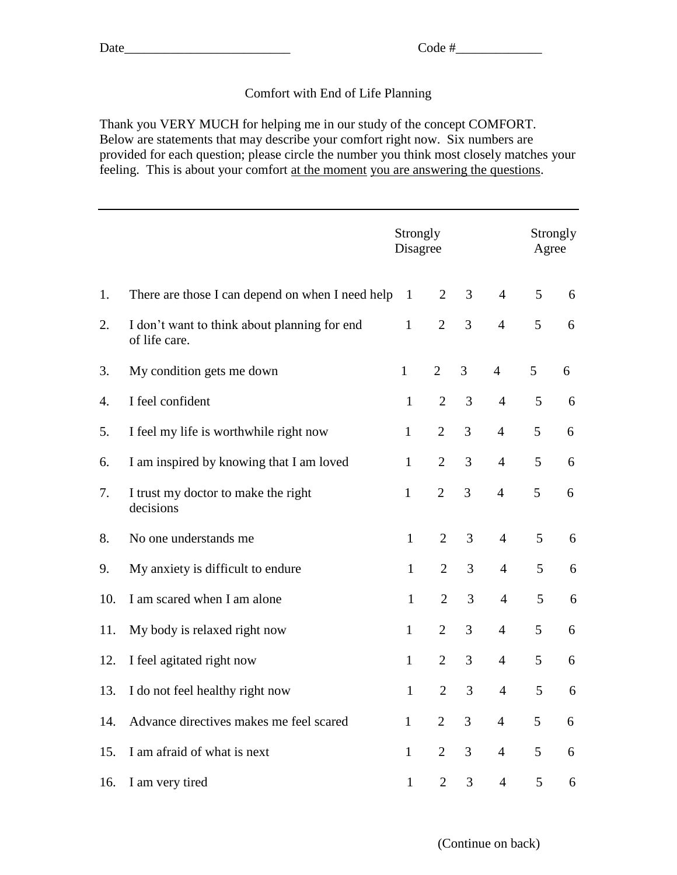## Comfort with End of Life Planning

Thank you VERY MUCH for helping me in our study of the concept COMFORT. Below are statements that may describe your comfort right now. Six numbers are provided for each question; please circle the number you think most closely matches your feeling. This is about your comfort at the moment you are answering the questions.

|     |                                                               | Strongly<br>Disagree |                |   |                | Strongly<br>Agree |   |  |  |
|-----|---------------------------------------------------------------|----------------------|----------------|---|----------------|-------------------|---|--|--|
| 1.  | There are those I can depend on when I need help              | $\mathbf{1}$         | $\overline{2}$ | 3 | $\overline{4}$ | 5                 | 6 |  |  |
| 2.  | I don't want to think about planning for end<br>of life care. | $\mathbf{1}$         | $\overline{2}$ | 3 | $\overline{4}$ | 5                 | 6 |  |  |
| 3.  | My condition gets me down                                     | $\mathbf{1}$         | $\overline{2}$ | 3 | $\overline{4}$ | 5                 | 6 |  |  |
| 4.  | I feel confident                                              | $\mathbf{1}$         | $\overline{2}$ | 3 | $\overline{4}$ | 5                 | 6 |  |  |
| 5.  | I feel my life is worthwhile right now                        | $\mathbf{1}$         | $\overline{2}$ | 3 | $\overline{4}$ | 5                 | 6 |  |  |
| 6.  | I am inspired by knowing that I am loved                      | $\mathbf{1}$         | $\overline{2}$ | 3 | $\overline{4}$ | 5                 | 6 |  |  |
| 7.  | I trust my doctor to make the right<br>decisions              | $\mathbf{1}$         | $\overline{2}$ | 3 | $\overline{4}$ | 5                 | 6 |  |  |
| 8.  | No one understands me                                         | $\mathbf{1}$         | $\overline{2}$ | 3 | $\overline{4}$ | 5                 | 6 |  |  |
| 9.  | My anxiety is difficult to endure                             | $\mathbf{1}$         | $\overline{2}$ | 3 | $\overline{4}$ | 5                 | 6 |  |  |
| 10. | I am scared when I am alone                                   | $\mathbf{1}$         | $\overline{2}$ | 3 | $\overline{4}$ | 5                 | 6 |  |  |
| 11. | My body is relaxed right now                                  | $\mathbf{1}$         | $\overline{2}$ | 3 | $\overline{4}$ | 5                 | 6 |  |  |
| 12. | I feel agitated right now                                     | $\mathbf{1}$         | $\overline{2}$ | 3 | $\overline{4}$ | 5                 | 6 |  |  |
| 13. | I do not feel healthy right now                               | $\mathbf{1}$         | $\overline{2}$ | 3 | $\overline{4}$ | 5                 | 6 |  |  |
| 14. | Advance directives makes me feel scared                       | $\mathbf{1}$         | $\overline{2}$ | 3 | $\overline{4}$ | 5                 | 6 |  |  |
| 15. | I am afraid of what is next                                   | $\mathbf{1}$         | $\overline{2}$ | 3 | $\overline{4}$ | 5                 | 6 |  |  |
| 16. | I am very tired                                               | $\mathbf{1}$         | $\overline{2}$ | 3 | $\overline{4}$ | 5                 | 6 |  |  |